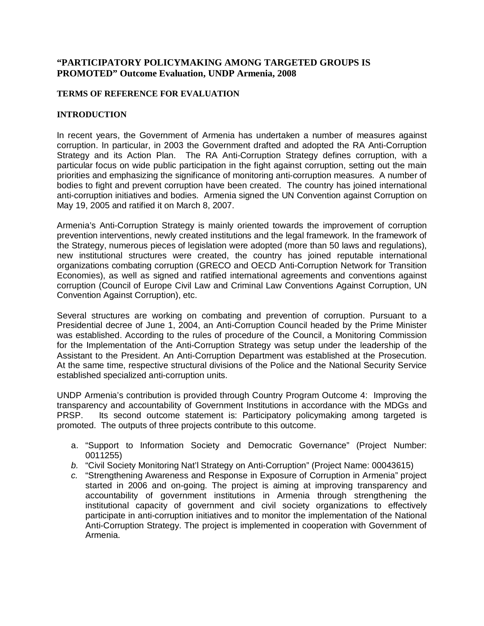#### **"PARTICIPATORY POLICYMAKING AMONG TARGETED GROUPS IS PROMOTED" Outcome Evaluation, UNDP Armenia, 2008**

#### **TERMS OF REFERENCE FOR EVALUATION**

#### **INTRODUCTION**

In recent years, the Government of Armenia has undertaken a number of measures against corruption. In particular, in 2003 the Government drafted and adopted the RA Anti-Corruption Strategy and its Action Plan. The RA Anti-Corruption Strategy defines corruption, with a particular focus on wide public participation in the fight against corruption, setting out the main priorities and emphasizing the significance of monitoring anti-corruption measures. A number of bodies to fight and prevent corruption have been created. The country has joined international anti-corruption initiatives and bodies. Armenia signed the UN Convention against Corruption on May 19, 2005 and ratified it on March 8, 2007.

Armenia's Anti-Corruption Strategy is mainly oriented towards the improvement of corruption prevention interventions, newly created institutions and the legal framework. In the framework of the Strategy, numerous pieces of legislation were adopted (more than 50 laws and regulations), new institutional structures were created, the country has joined reputable international organizations combating corruption (GRECO and OECD Anti-Corruption Network for Transition Economies), as well as signed and ratified international agreements and conventions against corruption (Council of Europe Civil Law and Criminal Law Conventions Against Corruption, UN Convention Against Corruption), etc.

Several structures are working on combating and prevention of corruption. Pursuant to a Presidential decree of June 1, 2004, an Anti-Corruption Council headed by the Prime Minister was established. According to the rules of procedure of the Council, a Monitoring Commission for the Implementation of the Anti-Corruption Strategy was setup under the leadership of the Assistant to the President. An Anti-Corruption Department was established at the Prosecution. At the same time, respective structural divisions of the Police and the National Security Service established specialized anti-corruption units.

UNDP Armenia's contribution is provided through Country Program Outcome 4: Improving the transparency and accountability of Government Institutions in accordance with the MDGs and PRSP. Its second outcome statement is: Participatory policymaking among targeted is promoted. The outputs of three projects contribute to this outcome.

- a. "Support to Information Society and Democratic Governance" (Project Number: 0011255)
- *b.* "Civil Society Monitoring Nat'l Strategy on Anti-Corruption" (Project Name: 00043615)
- *c.* "Strengthening Awareness and Response in Exposure of Corruption in Armenia" project started in 2006 and on-going. The project is aiming at improving transparency and accountability of government institutions in Armenia through strengthening the institutional capacity of government and civil society organizations to effectively participate in anti-corruption initiatives and to monitor the implementation of the National Anti-Corruption Strategy. The project is implemented in cooperation with Government of Armenia.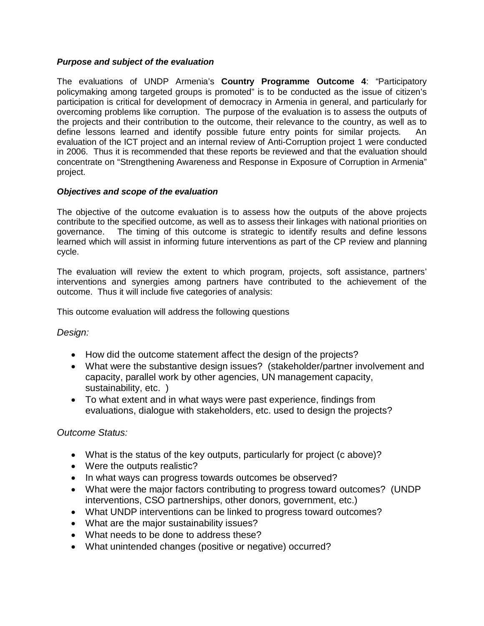### *Purpose and subject of the evaluation*

The evaluations of UNDP Armenia's **Country Programme Outcome 4**: "Participatory policymaking among targeted groups is promoted" is to be conducted as the issue of citizen's participation is critical for development of democracy in Armenia in general, and particularly for overcoming problems like corruption. The purpose of the evaluation is to assess the outputs of the projects and their contribution to the outcome, their relevance to the country, as well as to define lessons learned and identify possible future entry points for similar projects. An evaluation of the ICT project and an internal review of Anti-Corruption project 1 were conducted in 2006. Thus it is recommended that these reports be reviewed and that the evaluation should concentrate on "Strengthening Awareness and Response in Exposure of Corruption in Armenia" project.

### *Objectives and scope of the evaluation*

The objective of the outcome evaluation is to assess how the outputs of the above projects contribute to the specified outcome, as well as to assess their linkages with national priorities on governance. The timing of this outcome is strategic to identify results and define lessons learned which will assist in informing future interventions as part of the CP review and planning cycle.

The evaluation will review the extent to which program, projects, soft assistance, partners' interventions and synergies among partners have contributed to the achievement of the outcome. Thus it will include five categories of analysis:

This outcome evaluation will address the following questions

# *Design:*

- How did the outcome statement affect the design of the projects?
- What were the substantive design issues? (stakeholder/partner involvement and capacity, parallel work by other agencies, UN management capacity, sustainability, etc. )
- To what extent and in what ways were past experience, findings from evaluations, dialogue with stakeholders, etc. used to design the projects?

# *Outcome Status:*

- What is the status of the key outputs, particularly for project (c above)?
- Were the outputs realistic?
- In what ways can progress towards outcomes be observed?
- What were the major factors contributing to progress toward outcomes? (UNDP) interventions, CSO partnerships, other donors, government, etc.)
- What UNDP interventions can be linked to progress toward outcomes?
- What are the major sustainability issues?
- What needs to be done to address these?
- What unintended changes (positive or negative) occurred?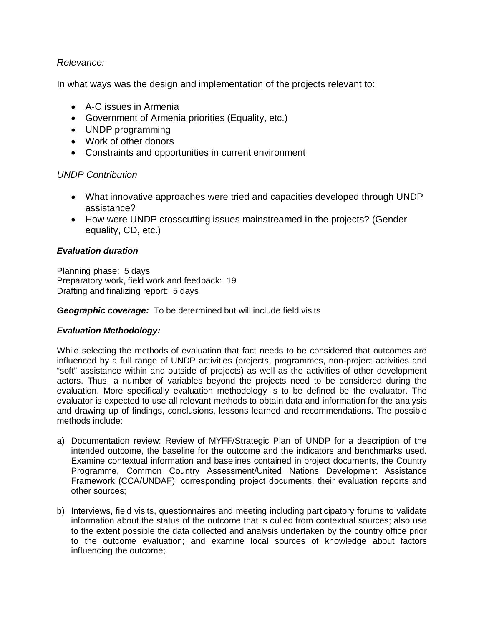# *Relevance:*

In what ways was the design and implementation of the projects relevant to:

- $\bullet$  A-C issues in Armenia
- Government of Armenia priorities (Equality, etc.)
- UNDP programming
- Work of other donors
- Constraints and opportunities in current environment

# *UNDP Contribution*

- What innovative approaches were tried and capacities developed through UNDP assistance?
- How were UNDP crosscutting issues mainstreamed in the projects? (Gender equality, CD, etc.)

# *Evaluation duration*

Planning phase: 5 days Preparatory work, field work and feedback: 19 Drafting and finalizing report: 5 days

*Geographic coverage:* To be determined but will include field visits

# *Evaluation Methodology:*

While selecting the methods of evaluation that fact needs to be considered that outcomes are influenced by a full range of UNDP activities (projects, programmes, non-project activities and "soft" assistance within and outside of projects) as well as the activities of other development actors. Thus, a number of variables beyond the projects need to be considered during the evaluation. More specifically evaluation methodology is to be defined be the evaluator. The evaluator is expected to use all relevant methods to obtain data and information for the analysis and drawing up of findings, conclusions, lessons learned and recommendations. The possible methods include:

- a) Documentation review: Review of MYFF/Strategic Plan of UNDP for a description of the intended outcome, the baseline for the outcome and the indicators and benchmarks used. Examine contextual information and baselines contained in project documents, the Country Programme, Common Country Assessment/United Nations Development Assistance Framework (CCA/UNDAF), corresponding project documents, their evaluation reports and other sources;
- b) Interviews, field visits, questionnaires and meeting including participatory forums to validate information about the status of the outcome that is culled from contextual sources; also use to the extent possible the data collected and analysis undertaken by the country office prior to the outcome evaluation; and examine local sources of knowledge about factors influencing the outcome;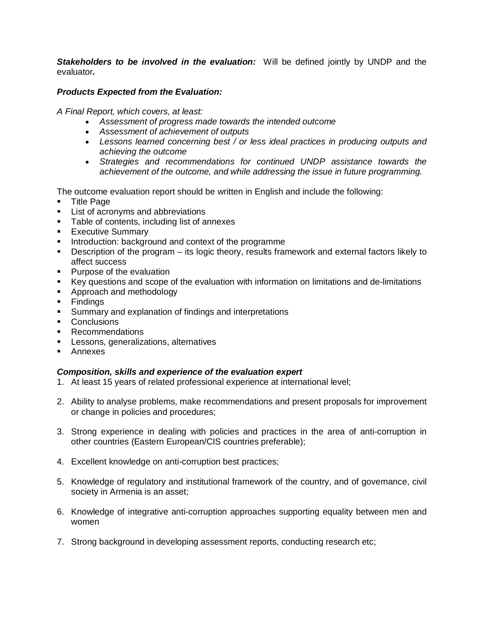**Stakeholders to be involved in the evaluation:** Will be defined jointly by UNDP and the evaluator*.*

#### *Products Expected from the Evaluation:*

*A Final Report, which covers, at least:*

- x *Assessment of progress made towards the intended outcome*
- x *Assessment of achievement of outputs*
- x *Lessons learned concerning best / or less ideal practices in producing outputs and achieving the outcome*
- x *Strategies and recommendations for continued UNDP assistance towards the achievement of the outcome, and while addressing the issue in future programming.*

The outcome evaluation report should be written in English and include the following:

- **Title Page**
- **EXECT:** List of acronyms and abbreviations
- **Table of contents, including list of annexes**
- **Executive Summary**
- **Introduction: background and context of the programme**
- Description of the program its logic theory, results framework and external factors likely to affect success
- **Purpose of the evaluation**
- Key questions and scope of the evaluation with information on limitations and de-limitations
- **Approach and methodology**
- **Findings**
- **Summary and explanation of findings and interpretations**
- **Conclusions**
- **Recommendations**
- **Lessons, generalizations, alternatives**
- **Annexes**

#### *Composition, skills and experience of the evaluation expert*

- 1. At least 15 years of related professional experience at international level;
- 2. Ability to analyse problems, make recommendations and present proposals for improvement or change in policies and procedures;
- 3. Strong experience in dealing with policies and practices in the area of anti-corruption in other countries (Eastern European/CIS countries preferable);
- 4. Excellent knowledge on anti-corruption best practices;
- 5. Knowledge of regulatory and institutional framework of the country, and of governance, civil society in Armenia is an asset;
- 6. Knowledge of integrative anti-corruption approaches supporting equality between men and women
- 7. Strong background in developing assessment reports, conducting research etc;